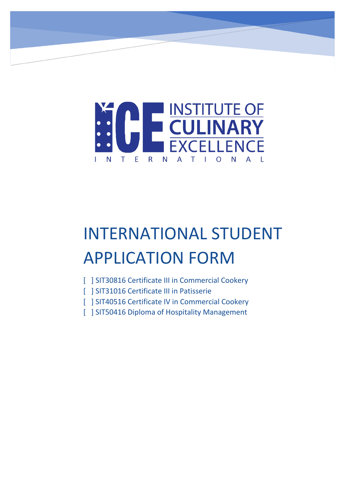

# INTERNATIONAL STUDENT APPLICATION FORM

- [ ] SIT30816 Certificate III in Commercial Cookery
- [ ] SIT31016 Certificate III in Patisserie
- [ ] SIT40516 Certificate IV in Commercial Cookery
- [ ] SIT50416 Diploma of Hospitality Management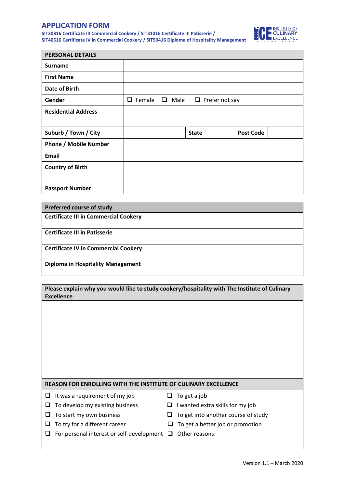## **APPLICATION FORM**

**SIT30816 Certificate III Commercial Cookery / SIT31016 Certificate III Patisserie / SIT40516 Certificate IV in Commercial Cookery / SIT50416 Diploma of Hospitality Management**



| <b>PERSONAL DETAILS</b>      |             |                |              |                       |  |
|------------------------------|-------------|----------------|--------------|-----------------------|--|
| <b>Surname</b>               |             |                |              |                       |  |
| <b>First Name</b>            |             |                |              |                       |  |
| <b>Date of Birth</b>         |             |                |              |                       |  |
| Gender                       | Female<br>□ | Male<br>$\Box$ |              | $\Box$ Prefer not say |  |
| <b>Residential Address</b>   |             |                |              |                       |  |
|                              |             |                |              |                       |  |
| Suburb / Town / City         |             |                | <b>State</b> | <b>Post Code</b>      |  |
| <b>Phone / Mobile Number</b> |             |                |              |                       |  |
| <b>Email</b>                 |             |                |              |                       |  |
| <b>Country of Birth</b>      |             |                |              |                       |  |
| <b>Passport Number</b>       |             |                |              |                       |  |

| <b>Preferred course of study</b>             |  |
|----------------------------------------------|--|
| <b>Certificate III in Commercial Cookery</b> |  |
| <b>Certificate III in Patisserie</b>         |  |
| <b>Certificate IV in Commercial Cookery</b>  |  |
| <b>Diploma in Hospitality Management</b>     |  |

| Please explain why you would like to study cookery/hospitality with The Institute of Culinary |
|-----------------------------------------------------------------------------------------------|
| <b>Excellence</b>                                                                             |

#### **REASON FOR ENROLLING WITH THE INSTITUTE OF CULINARY EXCELLENCE**

- $\Box$  It was a requirement of my job  $\Box$  To get a job
- $\Box$  To develop my existing business  $\Box$  I wanted extra skills for my job
- $\Box$  To start my own business  $\Box$  To get into another course of study
- $\Box$  To try for a different career  $\Box$  To get a better job or promotion
- 
- 
- -
- $\Box$  For personal interest or self-development  $\Box$  Other reasons:
-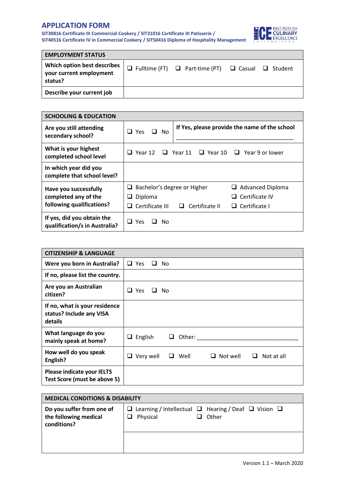# **APPLICATION FORM**

**SIT30816 Certificate III Commercial Cookery / SIT31016 Certificate III Patisserie / SIT40516 Certificate IV in Commercial Cookery / SIT50416 Diploma of Hospitality Management**



| <b>EMPLOYMENT STATUS</b>                                          |                                                                         |  |
|-------------------------------------------------------------------|-------------------------------------------------------------------------|--|
| Which option best describes<br>your current employment<br>status? | $\Box$ Fulltime (FT) $\Box$ Part-time (PT) $\Box$ Casual $\Box$ Student |  |
| Describe your current job                                         |                                                                         |  |

| <b>SCHOOLING &amp; EDUCATION</b>                            |                                  |                     |                                                      |
|-------------------------------------------------------------|----------------------------------|---------------------|------------------------------------------------------|
| Are you still attending<br>secondary school?                | $\Box$ Yes<br>$\Box$ No          |                     | If Yes, please provide the name of the school        |
| What is your highest<br>completed school level              | Year 12<br>ப                     |                     | $\Box$ Year 11 $\Box$ Year 10 $\Box$ Year 9 or lower |
| In which year did you<br>complete that school level?        |                                  |                     |                                                      |
| Have you successfully                                       | Bachelor's degree or Higher<br>⊔ |                     | Advanced Diploma                                     |
| completed any of the                                        | Diploma<br>⊔                     |                     | Certificate IV<br>ப                                  |
| following qualifications?                                   | Certificate III<br>$\mathcal{L}$ | Certificate II<br>ப | Certificate I<br>ப                                   |
| If yes, did you obtain the<br>qualification/s in Australia? | $\Box$ Yes<br>Nο                 |                     |                                                      |

| <b>CITIZENSHIP &amp; LANGUAGE</b>                                    |                                                                |
|----------------------------------------------------------------------|----------------------------------------------------------------|
| Were you born in Australia?                                          | $\Box$ Yes<br>No<br>$\Box$                                     |
| If no, please list the country.                                      |                                                                |
| Are you an Australian<br>citizen?                                    | $\Box$ Yes<br>No.<br>ப                                         |
| If no, what is your residence<br>status? Include any VISA<br>details |                                                                |
| What language do you<br>mainly speak at home?                        | English<br>Other:<br>u<br>ப                                    |
| How well do you speak<br>English?                                    | Not well<br>Not at all<br>$\Box$ Very well<br>□ Well<br>ப<br>ப |
| <b>Please indicate your IELTS</b><br>Test Score (must be above 5)    |                                                                |

| <b>MEDICAL CONDITIONS &amp; DISABILITY</b>                        |                                                                                                     |  |  |
|-------------------------------------------------------------------|-----------------------------------------------------------------------------------------------------|--|--|
| Do you suffer from one of<br>the following medical<br>conditions? | $\Box$ Learning / Intellectual $\Box$ Hearing / Deaf $\Box$ Vision $\Box$<br>Physical<br>Other<br>ப |  |  |
|                                                                   |                                                                                                     |  |  |